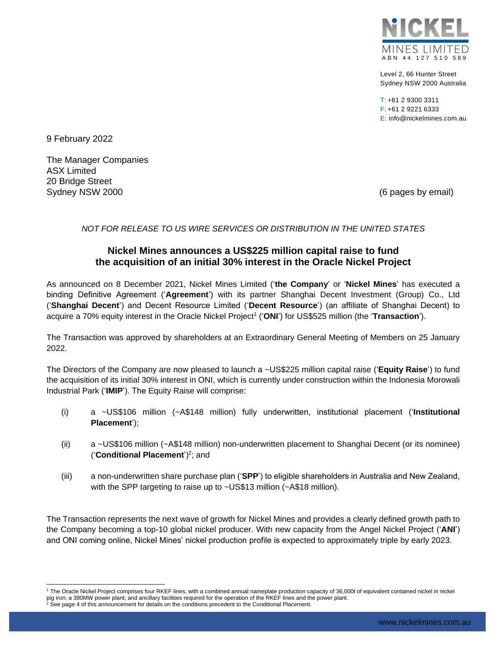

Level 2, 66 Hunter Street Sydney NSW 2000 Australia

 $T: +61$  2 9300 3311 F: +61 2 9221 6333 E: info@nickelmines.com.au

9 February 2022

l

The Manager Companies ASX Limited 20 Bridge Street Sydney NSW 2000 (6 pages by email)

*NOT FOR RELEASE TO US WIRE SERVICES OR DISTRIBUTION IN THE UNITED STATES*

# **Nickel Mines announces a US\$225 million capital raise to fund the acquisition of an initial 30% interest in the Oracle Nickel Project**

As announced on 8 December 2021, Nickel Mines Limited ('**the Company**' or '**Nickel Mines**' has executed a binding Definitive Agreement ('**Agreement**') with its partner Shanghai Decent Investment (Group) Co., Ltd ('**Shanghai Decent**') and Decent Resource Limited ('**Decent Resource**') (an affiliate of Shanghai Decent) to acquire a 70% equity interest in the Oracle Nickel Project<sup>1</sup> ('ONI') for US\$525 million (the 'Transaction').

The Transaction was approved by shareholders at an Extraordinary General Meeting of Members on 25 January 2022.

The Directors of the Company are now pleased to launch a ~US\$225 million capital raise ('**Equity Raise**') to fund the acquisition of its initial 30% interest in ONI, which is currently under construction within the Indonesia Morowali Industrial Park ('**IMIP**'). The Equity Raise will comprise:

- (i) a ~US\$106 million (~A\$148 million) fully underwritten, institutional placement ('**Institutional Placement**');
- (ii) a ~US\$106 million (~A\$148 million) non-underwritten placement to Shanghai Decent (or its nominee) ('**Conditional Placement**')<sup>2</sup> ; and
- (iii) a non-underwritten share purchase plan ('**SPP**') to eligible shareholders in Australia and New Zealand, with the SPP targeting to raise up to ~US\$13 million (~A\$18 million).

The Transaction represents the next wave of growth for Nickel Mines and provides a clearly defined growth path to the Company becoming a top-10 global nickel producer. With new capacity from the Angel Nickel Project ('**ANI**') and ONI coming online, Nickel Mines' nickel production profile is expected to approximately triple by early 2023.

<sup>1</sup> The Oracle Nickel Project comprises four RKEF lines, with a combined annual nameplate production capacity of 36,000t of equivalent contained nickel in nickel pig iron; a 380MW power plant; and ancillary facilities required for the operation of the RKEF lines and the power plant.<br><sup>2</sup> See page 4 of this announcement for details on the conditions precedent to the Conditional Place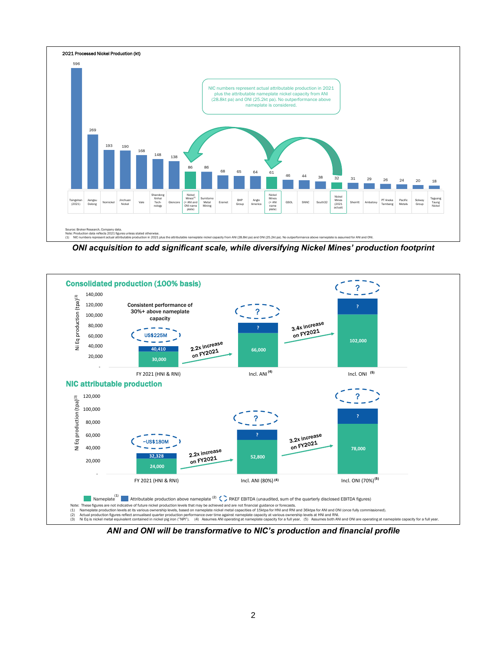

*ONI acquisition to add significant scale, while diversifying Nickel Mines' production footprint*



*ANI and ONI will be transformative to NIC's production and financial profile*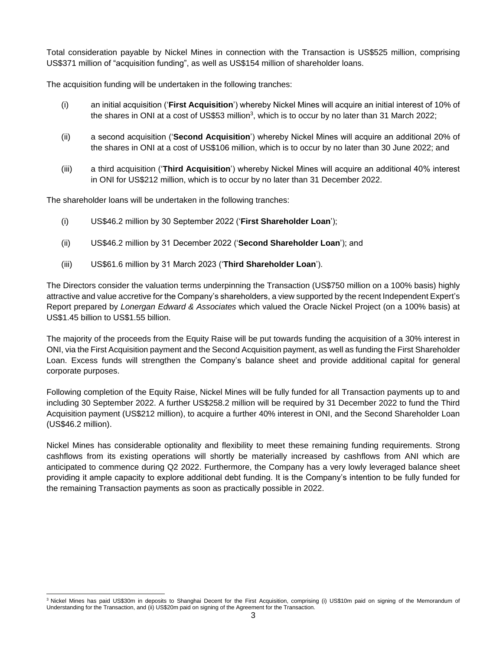Total consideration payable by Nickel Mines in connection with the Transaction is US\$525 million, comprising US\$371 million of "acquisition funding", as well as US\$154 million of shareholder loans.

The acquisition funding will be undertaken in the following tranches:

- (i) an initial acquisition ('**First Acquisition**') whereby Nickel Mines will acquire an initial interest of 10% of the shares in ONI at a cost of US\$53 million<sup>3</sup>, which is to occur by no later than 31 March 2022;
- (ii) a second acquisition ('**Second Acquisition**') whereby Nickel Mines will acquire an additional 20% of the shares in ONI at a cost of US\$106 million, which is to occur by no later than 30 June 2022; and
- (iii) a third acquisition ('**Third Acquisition**') whereby Nickel Mines will acquire an additional 40% interest in ONI for US\$212 million, which is to occur by no later than 31 December 2022.

The shareholder loans will be undertaken in the following tranches:

- (i) US\$46.2 million by 30 September 2022 ('**First Shareholder Loan**');
- (ii) US\$46.2 million by 31 December 2022 ('**Second Shareholder Loan**'); and
- (iii) US\$61.6 million by 31 March 2023 ('**Third Shareholder Loan**').

The Directors consider the valuation terms underpinning the Transaction (US\$750 million on a 100% basis) highly attractive and value accretive for the Company's shareholders, a view supported by the recent Independent Expert's Report prepared by *Lonergan Edward & Associates* which valued the Oracle Nickel Project (on a 100% basis) at US\$1.45 billion to US\$1.55 billion.

The majority of the proceeds from the Equity Raise will be put towards funding the acquisition of a 30% interest in ONI, via the First Acquisition payment and the Second Acquisition payment, as well as funding the First Shareholder Loan. Excess funds will strengthen the Company's balance sheet and provide additional capital for general corporate purposes.

Following completion of the Equity Raise, Nickel Mines will be fully funded for all Transaction payments up to and including 30 September 2022. A further US\$258.2 million will be required by 31 December 2022 to fund the Third Acquisition payment (US\$212 million), to acquire a further 40% interest in ONI, and the Second Shareholder Loan (US\$46.2 million).

Nickel Mines has considerable optionality and flexibility to meet these remaining funding requirements. Strong cashflows from its existing operations will shortly be materially increased by cashflows from ANI which are anticipated to commence during Q2 2022. Furthermore, the Company has a very lowly leveraged balance sheet providing it ample capacity to explore additional debt funding. It is the Company's intention to be fully funded for the remaining Transaction payments as soon as practically possible in 2022.

l <sup>3</sup> Nickel Mines has paid US\$30m in deposits to Shanghai Decent for the First Acquisition, comprising (i) US\$10m paid on signing of the Memorandum of Understanding for the Transaction, and (ii) US\$20m paid on signing of the Agreement for the Transaction.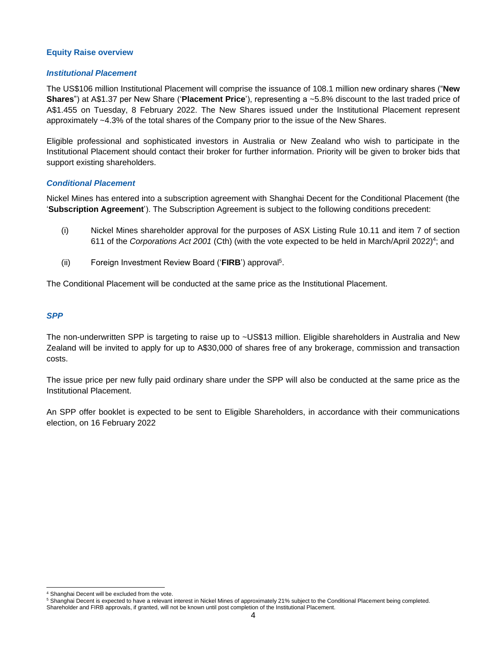### **Equity Raise overview**

### *Institutional Placement*

The US\$106 million Institutional Placement will comprise the issuance of 108.1 million new ordinary shares ("**New Shares**") at A\$1.37 per New Share ('**Placement Price**'), representing a ~5.8% discount to the last traded price of A\$1.455 on Tuesday, 8 February 2022. The New Shares issued under the Institutional Placement represent approximately ~4.3% of the total shares of the Company prior to the issue of the New Shares.

Eligible professional and sophisticated investors in Australia or New Zealand who wish to participate in the Institutional Placement should contact their broker for further information. Priority will be given to broker bids that support existing shareholders.

# *Conditional Placement*

Nickel Mines has entered into a subscription agreement with Shanghai Decent for the Conditional Placement (the '**Subscription Agreement**'). The Subscription Agreement is subject to the following conditions precedent:

- (i) Nickel Mines shareholder approval for the purposes of ASX Listing Rule 10.11 and item 7 of section 611 of the *Corporations Act 2001* (Cth) (with the vote expected to be held in March/April 2022)<sup>4</sup>; and
- (ii) Foreign Investment Review Board ('**FIRB**') approval<sup>5</sup> .

The Conditional Placement will be conducted at the same price as the Institutional Placement.

# *SPP*

The non-underwritten SPP is targeting to raise up to ~US\$13 million. Eligible shareholders in Australia and New Zealand will be invited to apply for up to A\$30,000 of shares free of any brokerage, commission and transaction costs.

The issue price per new fully paid ordinary share under the SPP will also be conducted at the same price as the Institutional Placement.

An SPP offer booklet is expected to be sent to Eligible Shareholders, in accordance with their communications election, on 16 February 2022

l

Shanghai Decent will be excluded from the vote.

<sup>5</sup> Shanghai Decent is expected to have a relevant interest in Nickel Mines of approximately 21% subject to the Conditional Placement being completed. Shareholder and FIRB approvals, if granted, will not be known until post completion of the Institutional Placement.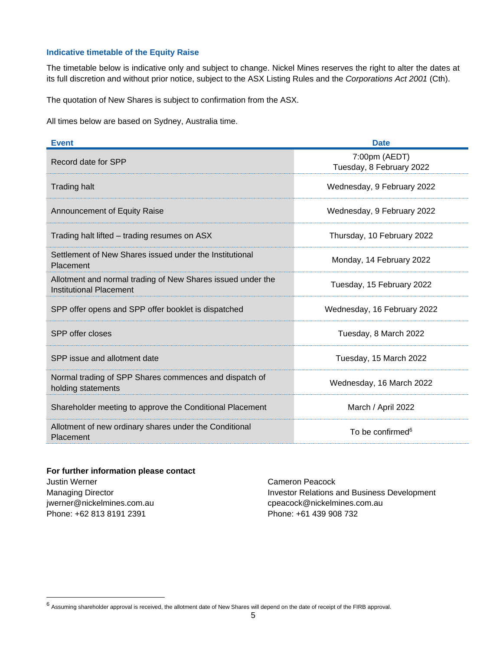# **Indicative timetable of the Equity Raise**

The timetable below is indicative only and subject to change. Nickel Mines reserves the right to alter the dates at its full discretion and without prior notice, subject to the ASX Listing Rules and the *Corporations Act 2001* (Cth).

The quotation of New Shares is subject to confirmation from the ASX.

All times below are based on Sydney, Australia time.

| <b>Event</b>                                                                           | <b>Date</b>                               |
|----------------------------------------------------------------------------------------|-------------------------------------------|
| Record date for SPP                                                                    | 7:00pm (AEDT)<br>Tuesday, 8 February 2022 |
| <b>Trading halt</b>                                                                    | Wednesday, 9 February 2022                |
| <b>Announcement of Equity Raise</b>                                                    | Wednesday, 9 February 2022                |
| Trading halt lifted – trading resumes on ASX                                           | Thursday, 10 February 2022                |
| Settlement of New Shares issued under the Institutional<br>Placement                   | Monday, 14 February 2022                  |
| Allotment and normal trading of New Shares issued under the<br>Institutional Placement | Tuesday, 15 February 2022                 |
| SPP offer opens and SPP offer booklet is dispatched                                    | Wednesday, 16 February 2022               |
| SPP offer closes                                                                       | Tuesday, 8 March 2022                     |
| SPP issue and allotment date                                                           | Tuesday, 15 March 2022                    |
| Normal trading of SPP Shares commences and dispatch of<br>holding statements           | Wednesday, 16 March 2022                  |
| Shareholder meeting to approve the Conditional Placement                               | March / April 2022                        |
| Allotment of new ordinary shares under the Conditional<br>Placement                    | To be confirmed <sup>6</sup>              |

#### **For further information please contact**

Justin Werner Managing Director jwerner@nickelmines.com.au Phone: +62 813 8191 2391

l

Cameron Peacock Investor Relations and Business Development cpeacock@nickelmines.com.au Phone: +61 439 908 732

 $6$  Assuming shareholder approval is received, the allotment date of New Shares will depend on the date of receipt of the FIRB approval.